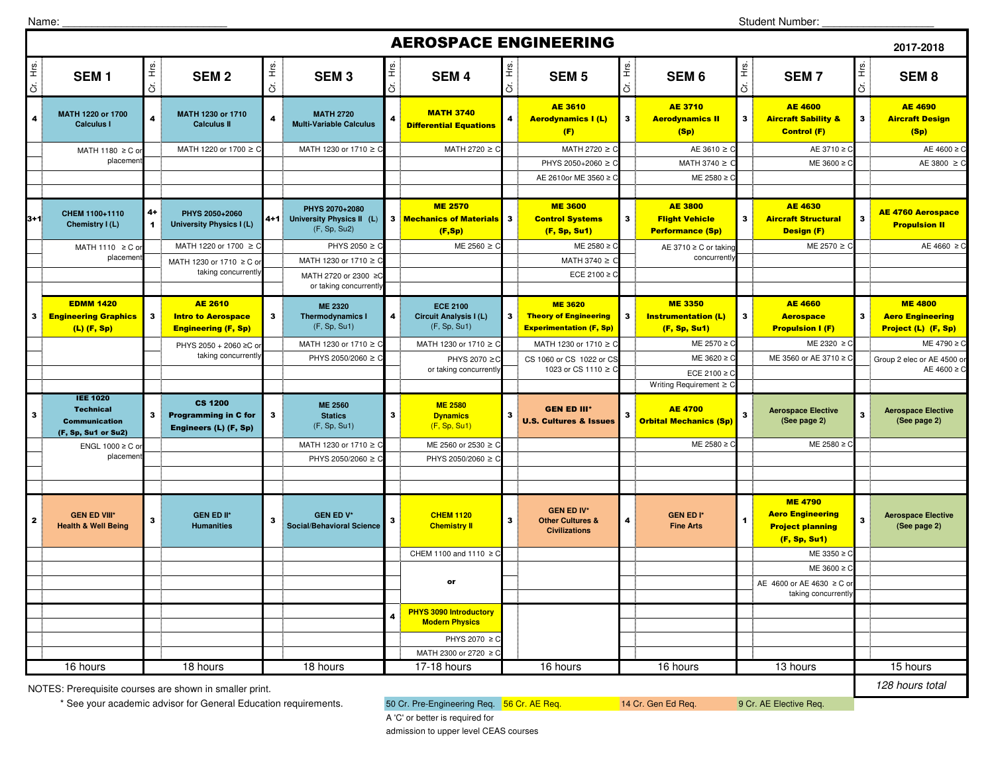Name:

## **2017-2018** $\frac{d}{dt}$ **SEM 1**  $\frac{g}{\pm}$  **SEM 2**  $\frac{d}{dt}$ **SEM 3**  $\frac{g}{\pm}$  **SEM 4**  $\begin{bmatrix} \frac{\dot{v}}{L} \\ \vdots \end{bmatrix}$  **SEM 5** ້≝<br>\_ີ່ **SEM 6**<br>ວັ  $\begin{bmatrix} \frac{\dot{x}}{\dot{x}} \\ \vdots \end{bmatrix}$  **SEM 7**  $\frac{v}{\overline{c}}$ **SEM 8** 4**MATH 1220 or 1700 Calculus I Calculus II 1230 or 1710 Calculus II All and Calculus II All and Calculus II All and Multi-Variable Calculus <b>Calculus II All and Calculus II All and Calculus II All and Differential Equations** AE 3610 Aerodynamics I (L) (F) $3<sup>1</sup>$ AE 3710 <mark>Aerodynamics II</mark> (Sp) $3^{\frac{1}{2}}$ AE 4600 Aircraft Sability & Control (F) $\overline{\mathbf{3}}$ AE 4690 Aircraft Design (Sp)MATH 1220 or 1700 ≥ C MATH 1230 or 1710 ≥ C  $\stackrel{1}{\vdots}$  MATH 2720 ≥ C  $\stackrel{1}{\vdots}$  MATH 2720 ≥ C  $\stackrel{1}{\vdots}$  AE 3610 ≥ 0 C AE 3710 ≥ C AE 4600 ≥ C PHYS 2050+2060 ≥ C MATH 3740 ≥ ME  $3600 \geq$ AE 3800 ≥ AE 2610or ME 3560 ≥ C  $ME = 2580$  ≥ 3+1**CHEM 1100+1110** 4+<br>**Chemistry I (L)** 4 **PHYS 2050+2060 PHYS 2070+2080 University Physics I (L) 4+1 University Physics II (L)** (F, Sp, Su2) **3 ME 2570<br>3 Mechanics of Materials<br>(F,Sp)** 70 ME 3600 ME 3600 AE 3800 AE 4630 AE 4630 AE 4760 Aerospace<br>Materials 3 Control Systems (Sp) Performance (Sp) and Design (F) and Propulsion II MATH 1220 or 1700 ≥ C  $\parallel$  PHYS 2050 ≥ C  $\parallel$  ME 2560 ≥  $\parallel$ C ME 2580 ≥C AE 3710 ≥C or taking ME 2570 ≥C <u>(C AE 4660 ≥C</u> MATH 1230 or 1710 ≥ MATH 3740  $\geq$ ECE 2100 ≥ 3EDMM 1420 Engineering Graphics (L) (F, Sp)3AE 2610 **Intro to Aerospace** Engineering (F, Sp)3**ME 2320 Thermodynamics I** (F, Sp, Su1)4**ECE 2100 Circuit Analysis I (L)** (F, Sp, Su1)3ME 3620 Theory of Engineering Experimentation (F, Sp)3ME 3350 Instrumentation (L) (F, Sp, Su1)3AE 4660 **Aerospace** Propulsion I (F)3ME 4800 Aero Engineering Project (L) (F, Sp)MATH 1230 or 1710 ≥ C MATH 1230 or 1710 ≥ C MATH 1230 or 1710 ≥ 0 C <u>Superintend</u> B ME 2570 ≥ C C ME 2320 ≥ C C ME 4790 ≥ C PHYS 2050/2060 ≥ C ME 3620 ≥ C PHYS 2070 ≥C C CS 1060 or CS 1022 or CS C CS C ME 3620 ≥ C ME 3560 or AE 3710 ≥ C ECE 2100 ≥ Writing Requirement ≥ C3IEE 1020 Technical Communication (F, Sp, Su1 or Su2)3CS 1200 Programming in C for Engineers (L) (F, Sp)3**ME 2560 Statics**  (F, Sp, Su1)3**ME 2580 Dynamics**  (F, Sp, Su1)3GEN ED III\* U.S. Cultures & Issues3AE 4700 Orbital Mechanics (Sp)3 **Aerospace Elective (See page 2)** <sup>3</sup> **Aerospace Elective (See page 2)** MATH 1230 or 1710  $\geq C$  ME 2560 or 2530  $\geq$  C C <u>Desimble 2580 ≥C desimble 2580 ≥C</u> ME 2580 ≥C design and ME 2580 ≥C PHYS 2050/2060 ≥ C PHYS 2050/2060 ≥ 2 **GEN ED VIII\* Health & Well BeingGEN ED II\* Social/Behavioral Science 3 CHEM 1120** Chemistry II 3 **GEN ED IV\*** Other Cultures & Chemistry II<br>Civilizations **4 GEN ED I\***<br> **5 CEN ED I\***<br> **1 Fine Arts** ME 4790 Aero Engineering Project planning (F, Sp, Su1)3 **Aerospace Elective (See page 2)**CHEM 1100 and 1110 ≥ 0 C <u>Design and the set of the set of the set of the set of the set of the set of the set of the set of the set o</u>  $ME$  3600  $>$ PHYS 2070 ≥ 0 MATH 2300 or 2720 ≥ **PHYS 3090 Introductory Modern Physics** <sup>4</sup> 17-18 hours 16 hours 16 hours 13 hours AEROSPACE ENGINEERING MATH 2720 or 2300 ≥C or taking concurrentl MATH 1230 or 1710 ≥ C or taking concurrentl MATH 1110  $\geq$  C or placemen MATH 1180  $\geq$  C c placemen Group 2 elec or AE 4500 AE  $4600 \geq$ concurrentl PHYS 2050 + 2060 ≥C o taking concurrentlyPHYS 2070 ≥ or taking concurrently1023 or CS 1110 ≥ ENGL 1000  $\geq$  C c placemen 16 hours 18 hours 18 hours 18 hours s 17-18 hours 16 hours 16 hours 16 hours 13 hours 15 hours 15 hours or $AC$  4600 or AE 4630  $\geq$  C or taking concurrentl

NOTES: Prerequisite courses are shown in smaller print.

\* See your academic advisor for General Education requirements. 60 Cr. Pre-Engineering Req. 56 Cr. AE Req. 14 Cr. Gen Ed Req. 9 Cr. AE Elective Req.

128 hours total

A 'C' or better is required foradmission to upper level CEAS courses